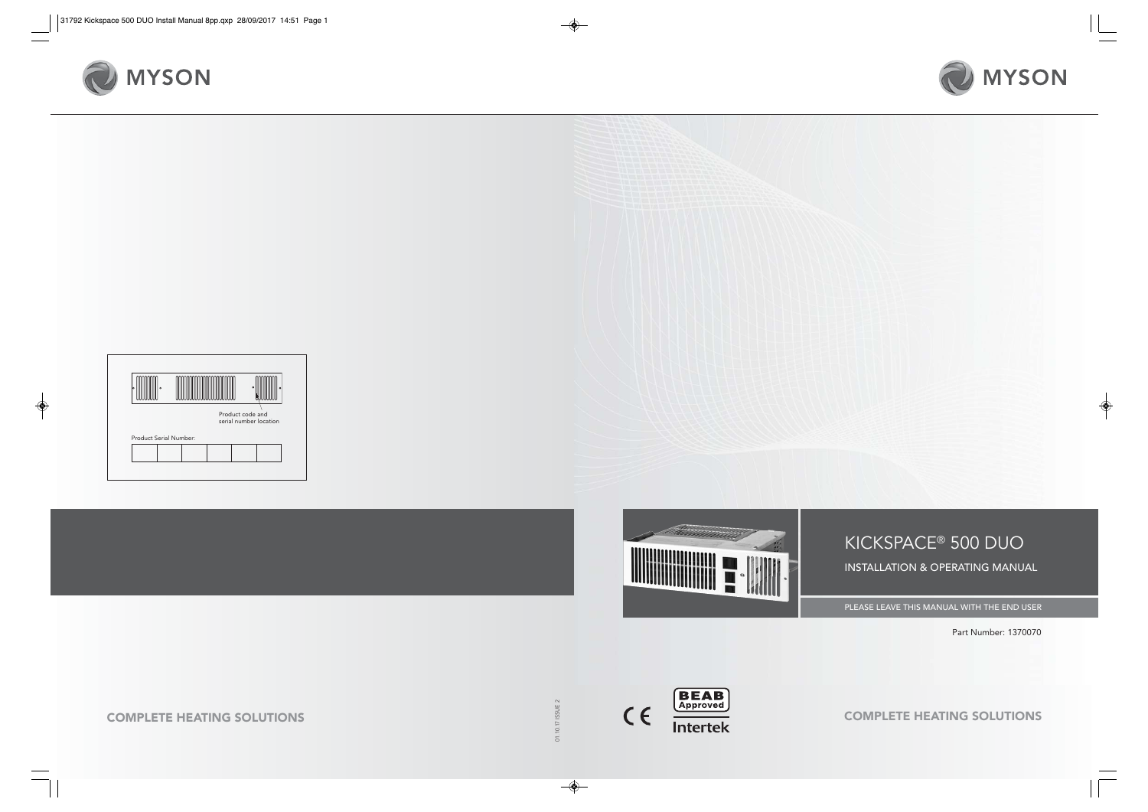









KICKSPACE® 500 DUO INSTALLATION & OPERATING MANUAL

PLEASE LEAVE THIS MANUAL WITH THE END USER

Part Number: 1370070

01.10.17 ISSUE 2

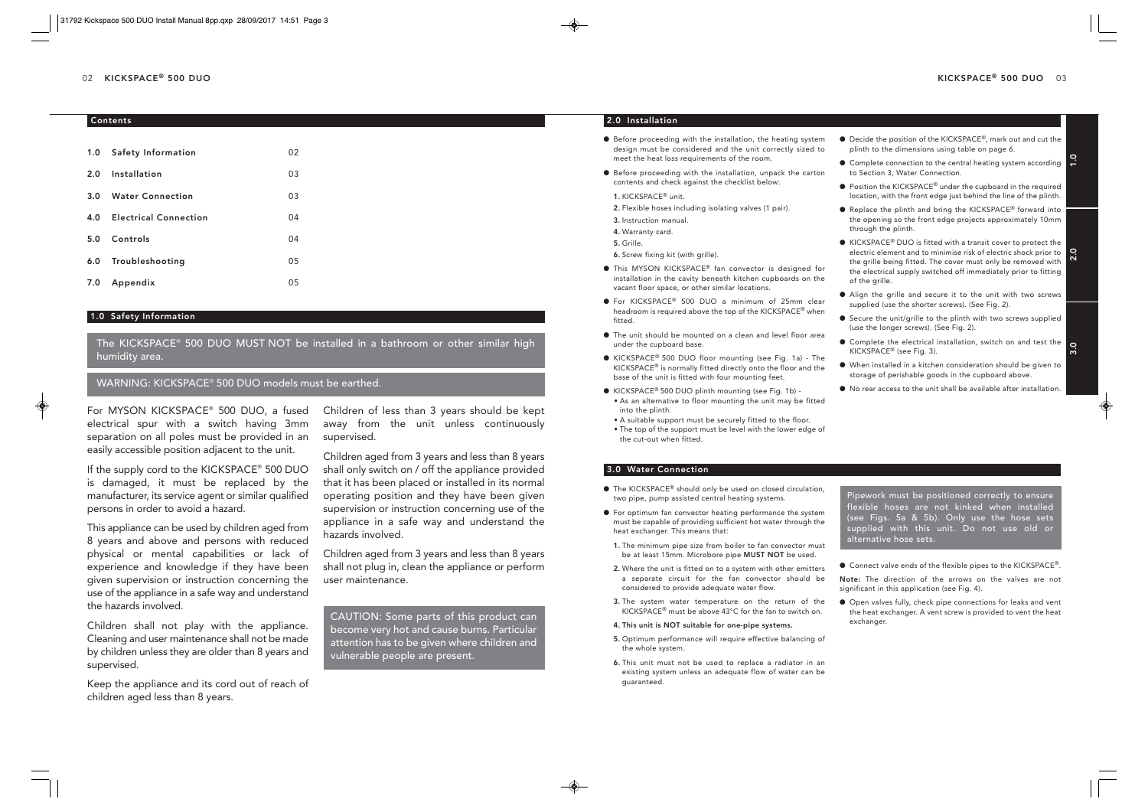## Contents

| 1.0 | Safety Information           | 02 |
|-----|------------------------------|----|
| 2.0 | Installation                 | 03 |
| 3.0 | <b>Water Connection</b>      | 03 |
| 4.0 | <b>Electrical Connection</b> | 04 |
| 5.0 | Controls                     | 04 |
| 6.0 | Troubleshooting              | 05 |
| 7.0 | Appendix                     | 05 |

## 1.0 Safety Information

The KICKSPACE® 500 DUO MUST NOT be installed in a bathroom or other similar high humidity area.

WARNING: KICKSPACE® 500 DUO models must be earthed.

For MYSON KICKSPACE® 500 DUO, a fused electrical spur with a switch having 3mm separation on all poles must be provided in an easily accessible position adjacent to the unit.

If the supply cord to the KICKSPACE® 500 DUO is damaged, it must be replaced by the manufacturer, its service agent or similar qualified persons in order to avoid a hazard.

This appliance can be used by children aged from 8 years and above and persons with reduced physical or mental capabilities or lack of experience and knowledge if they have been given supervision or instruction concerning the use of the appliance in a safe way and understand the hazards involved.

Children shall not play with the appliance. Cleaning and user maintenance shall not be made by children unless they are older than 8 years and supervised.

Keep the appliance and its cord out of reach of children aged less than 8 years.

Children of less than 3 years should be kept away from the unit unless continuously supervised.

Children aged from 3 years and less than 8 years shall only switch on / off the appliance provided that it has been placed or installed in its normal operating position and they have been given supervision or instruction concerning use of the appliance in a safe way and understand the hazards involved.

Children aged from 3 years and less than 8 years shall not plug in, clean the appliance or perform user maintenance.

CAUTION: Some parts of this product can become very hot and cause burns. Particular attention has to be given where children and vulnerable people are present.

# 2.0 Installation

- $\bullet$  Before proceeding with the installation, the heating system design must be considered and the unit correctly sized to meet the heat loss requirements of the room.
- l Before proceeding with the installation, unpack the carton contents and check against the checklist below:
- 1. KICKSPACE® unit.
- 2. Flexible hoses including isolating valves (1 pair).
- 3. Instruction manual.
- 4. Warranty card.
- 5. Grille.
- 6. Screw fixing kit (with grille).
- This MYSON KICKSPACE<sup>®</sup> fan convector is designed for installation in the cavity beneath kitchen cupboards on the vacant floor space, or other similar locations.
- For KICKSPACE<sup>®</sup> 500 DUO a minimum of 25mm clear headroom is required above the top of the KICKSPACE® when fitted.
- l The unit should be mounted on a clean and level floor area under the cupboard base.
- KICKSPACE<sup>®</sup> 500 DUO floor mounting (see Fig. 1a) The KICKSPACE® is normally fitted directly onto the floor and the base of the unit is fitted with four mounting feet.
- KICKSPACE<sup>®</sup> 500 DUO plinth mounting (see Fig. 1b) -• As an alternative to floor mounting the unit may be fitted into the plinth.
- A suitable support must be securely fitted to the floor.
- The top of the support must be level with the lower edge of the cut-out when fitted.

# 3.0 Water Connection

- The KICKSPACE<sup>®</sup> should only be used on closed circulation, two pipe, pump assisted central heating systems.
- l For optimum fan convector heating performance the system must be capable of providing sufficient hot water through the heat exchanger. This means that:
- 1. The minimum pipe size from boiler to fan convector must be at least 15mm. Microbore pipe MUST NOT be used.
- 2. Where the unit is fitted on to a system with other emitters a separate circuit for the fan convector should be considered to provide adequate water flow.
- 3. The system water temperature on the return of the KICKSPACE® must be above 43°C for the fan to switch on.
- 4. This unit is NOT suitable for one-pipe systems.
- 5. Optimum performance will require effective balancing of the whole system.
- 6. This unit must not be used to replace a radiator in an existing system unless an adequate flow of water can be guaranteed.
- Decide the position of the KICKSPACE<sup>®</sup>, mark out and cut the plinth to the dimensions using table on page 6.
- Complete connection to the central heating system according to Section 3, Water Connection.
- Position the KICKSPACE<sup>®</sup> under the cupboard in the required location, with the front edge just behind the line of the plinth.
- Replace the plinth and bring the KICKSPACE<sup>®</sup> forward into the opening so the front edge projects approximately 10mm through the plinth.
- electric element and to minimise risk of electric shock prior to  $\begin{array}{c} \bullet \\ \bullet \\ \bullet \end{array}$  $\bullet$  KICKSPACE® DUO is fitted with a transit cover to protect the the grille being fitted. The cover must only be removed with the electrical supply switched off immediately prior to fitting of the grille.
- l Align the grille and secure it to the unit with two screws supplied (use the shorter screws). (See Fig. 2).
- Secure the unit/grille to the plinth with two screws supplied (use the longer screws). (See Fig. 2).
- Complete the electrical installation, switch on and test the  $\overline{\bullet}$ <br>KICKSPACE® (see Fig. 3). KICKSPACE® (see Fig. 3).
- l When installed in a kitchen consideration should be given to storage of perishable goods in the cupboard above.
- l No rear access to the unit shall be available after installation.

Pipework must be positioned correctly to ensure flexible hoses are not kinked when installed (see Figs. 5a & 5b). Only use the hose sets supplied with this unit. Do not use old or alternative hose sets.

● Connect valve ends of the flexible pipes to the KICKSPACE®.

Note: The direction of the arrows on the valves are not significant in this application (see Fig. 4).

l Open valves fully, check pipe connections for leaks and vent the heat exchanger. A vent screw is provided to vent the heat exchanger.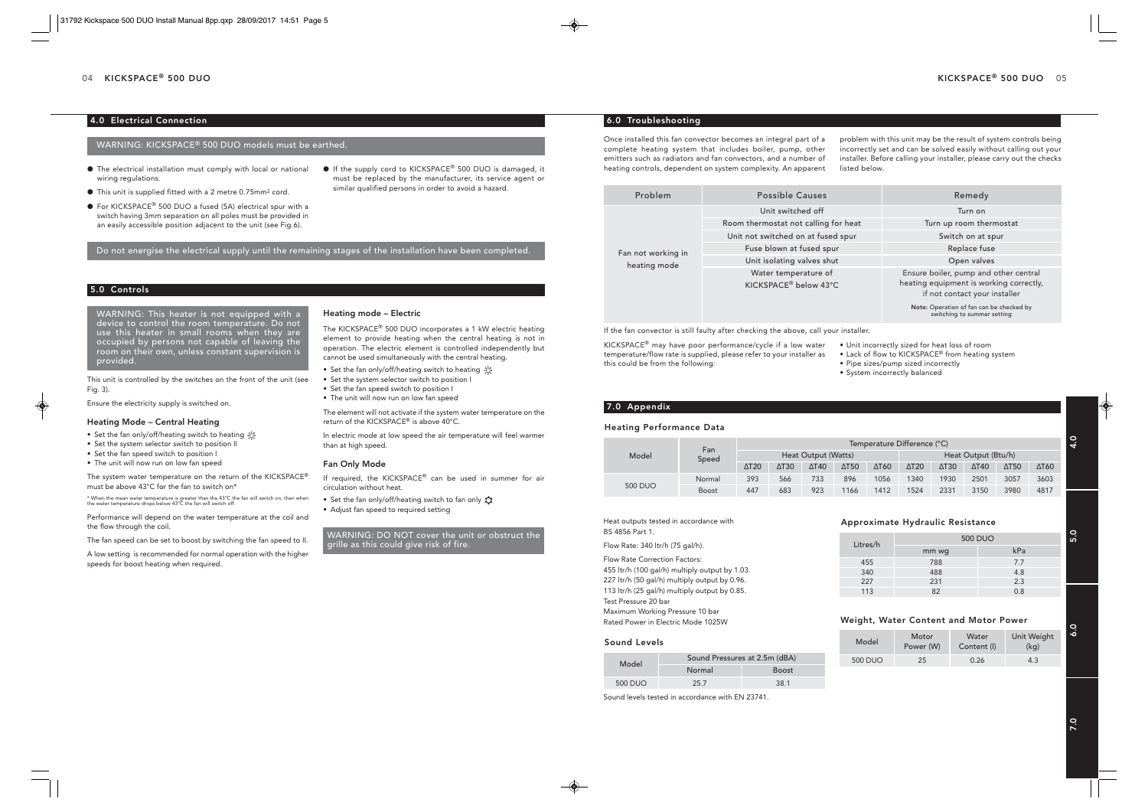## 4.0 Electrical Connection

## WARNING: KICKSPACE® 500 DUO models must be earthed.

- $\bullet$  The electrical installation must comply with local or national wiring regulations.
- l This unit is supplied fitted with a 2 metre 0.75mm2 cord.
- For KICKSPACE<sup>®</sup> 500 DUO a fused (5A) electrical spur with a switch having 3mm separation on all poles must be provided in an easily accessible position adjacent to the unit (see Fig.6).

Do not energise the electrical supply until the remaining stages of the installation have been completed.

## 5.0 Controls

WARNING: This heater is not equipped with a device to control the room temperature. Do not use this heater in small rooms when they are occupied by persons not capable of leaving the room on their own, unless constant supervision is provided.

This unit is controlled by the switches on the front of the unit (see Fig. 3).

Ensure the electricity supply is switched on.

#### Heating Mode – Central Heating

- Set the fan only/off/heating switch to heating
- Set the system selector switch to position II
- Set the fan speed switch to position I
- The unit will now run on low fan speed

The system water temperature on the return of the KICKSPACE® must be above 43°C for the fan to switch on\*

\* When the mean water temperature is greater than the 43°C the fan will switch on, then when the water temperature drops below 43°C the fan will switch off.

Performance will depend on the water temperature at the coil and the flow through the coil.

The fan speed can be set to boost by switching the fan speed to II.

A low setting is recommended for normal operation with the higher speeds for boost heating when required.

#### Heating mode – Electric

The KICKSPACE® 500 DUO incorporates a 1 kW electric heating element to provide heating when the central heating is not in operation. The electric element is controlled independently but cannot be used simultaneously with the central heating.

● If the supply cord to KICKSPACE<sup>®</sup> 500 DUO is damaged, it must be replaced by the manufacturer, its service agent or

similar qualified persons in order to avoid a hazard.

- Set the fan only/off/heating switch to heating
- Set the system selector switch to position I
- Set the fan speed switch to position I
- The unit will now run on low fan speed

The element will not activate if the system water temperature on the return of the KICKSPACE® is above 40°C.

In electric mode at low speed the air temperature will feel warmer than at high speed.

#### Fan Only Mode

If required, the KICKSPACE® can be used in summer for air circulation without heat.

• Set the fan only/off/heating switch to fan only • Adjust fan speed to required setting

WARNING: DO NOT cover the unit or obstruct the grille as this could give risk of fire.

### 6.0 Troubleshooting

Once installed this fan convector becomes an integral part of a complete heating system that includes boiler, pump, other emitters such as radiators and fan convectors, and a number of heating controls, dependent on system complexity. An apparent

problem with this unit may be the result of system controls being incorrectly set and can be solved easily without calling out your installer. Before calling your installer, please carry out the checks listed below.

| Problem            | <b>Possible Causes</b>                                    | Remedy                                                                                                            |
|--------------------|-----------------------------------------------------------|-------------------------------------------------------------------------------------------------------------------|
|                    | Unit switched off                                         | Turn on                                                                                                           |
|                    | Room thermostat not calling for heat                      | Turn up room thermostat                                                                                           |
|                    | Unit not switched on at fused spur                        | Switch on at spur                                                                                                 |
| Fan not working in | Fuse blown at fused spur                                  | Replace fuse                                                                                                      |
| heating mode       | Unit isolating valves shut                                | Open valves                                                                                                       |
|                    | Water temperature of<br>KICKSPACE <sup>®</sup> below 43°C | Ensure boiler, pump and other central<br>heating equipment is working correctly,<br>if not contact your installer |
|                    |                                                           | Note: Operation of fan can be checked by<br>switching to summer setting                                           |

If the fan convector is still faulty after checking the above, call your installer.

KICKSPACE® may have poor performance/cycle if a low water temperature/flow rate is supplied, please refer to your installer as this could be from the following:

- Unit incorrectly sized for heat loss of room
- $\bullet$  Lack of flow to KICKSPACE® from heating system
- Pipe sizes/pump sized incorrectly
- System incorrectly balanced

## 7.0 Appendix

#### Heating Performance Data

|                | Fan<br>Speed | Temperature Difference (°C) |                 |              |                          |                     |                          |                             |              |              |      |
|----------------|--------------|-----------------------------|-----------------|--------------|--------------------------|---------------------|--------------------------|-----------------------------|--------------|--------------|------|
| Model          |              | Heat Output (Watts)         |                 |              |                          | Heat Output (Btu/h) |                          |                             |              |              |      |
|                |              | $\Delta$ T <sub>20</sub>    | $\triangle$ T30 | $\Delta$ T40 | $\Delta$ T <sub>50</sub> | ΔT60                | $\Delta$ T <sub>20</sub> | $\triangle$ T <sub>30</sub> | $\Delta$ T40 | $\Delta$ T50 | ΔT60 |
|                | Normal       | 393                         | 566             | 733          | 896                      | 1056                | 1340                     | 1930                        | 2501         | 3057         | 3603 |
| <b>500 DUO</b> | <b>Boost</b> | 447                         | 683             | 923          | 1166                     | 1412                | 1524                     | 2331                        | 3150         | 3980         | 4817 |

Heat outputs tested in accordance with BS 4856 Part 1. Flow Rate: 340 ltr/h (75 gal/h).

Flow Rate Correction Factors: 455 ltr/h (100 gal/h) multiply output by 1.03. 227 ltr/h (50 gal/h) multiply output by 0.96. 113 ltr/h (25 gal/h) multiply output by 0.85. Test Pressure 20 bar Maximum Working Pressure 10 bar Rated Power in Electric Mode 1025W

#### Sound Levels

| Model   | Sound Pressures at 2.5m (dBA) |              |  |  |
|---------|-------------------------------|--------------|--|--|
|         | Normal                        | <b>Boost</b> |  |  |
| 500 DUO | 25.7                          | 38.1         |  |  |

Sound levels tested in accordance with EN 23741.

#### Approximate Hydraulic Resistance

| Litres/h | <b>500 DUO</b> |     |  |  |  |
|----------|----------------|-----|--|--|--|
|          | mm wg          | kPa |  |  |  |
| 455      | 788            | 7.7 |  |  |  |
| 340      | 488            | 4.8 |  |  |  |
| 227      | 231            | 2.3 |  |  |  |
| 113      | 82             | 0.8 |  |  |  |

## Weight, Water Content and Motor Power

|  | Model          | <b>Motor</b><br>Power (W) | Water<br>Content (I) | Unit Weight<br>(kq) | 6 |  |
|--|----------------|---------------------------|----------------------|---------------------|---|--|
|  | <b>500 DUO</b> | 25                        | 0.26                 | 4.3                 |   |  |

4.0

5.0